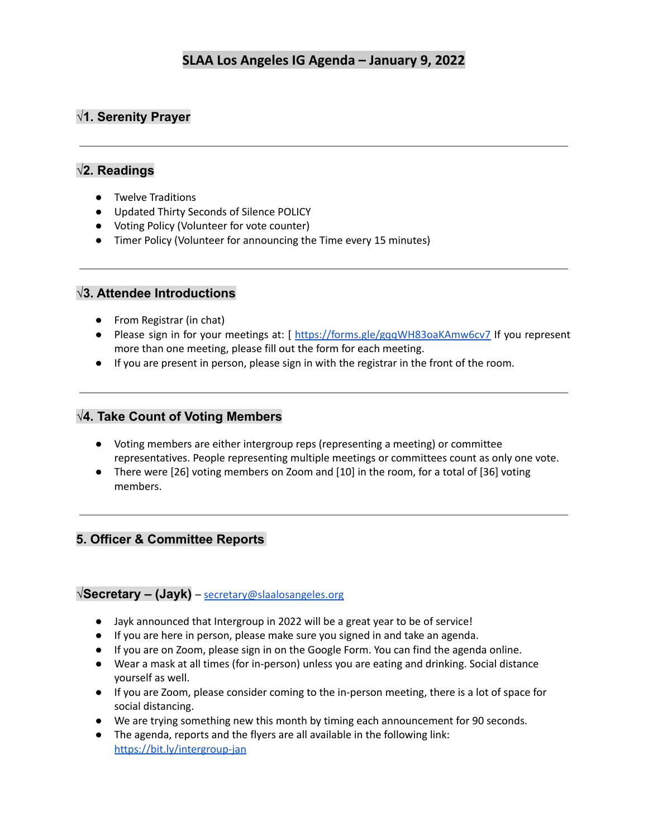# **√1. Serenity Prayer**

## **√2. Readings**

- Twelve Traditions
- Updated Thirty Seconds of Silence POLICY
- Voting Policy (Volunteer for vote counter)
- Timer Policy (Volunteer for announcing the Time every 15 minutes)

### **√3. Attendee Introductions**

- From Registrar (in chat)
- Please sign in for your meetings at: [ <https://forms.gle/gqqWH83oaKAmw6cv7> If you represent more than one meeting, please fill out the form for each meeting.
- If you are present in person, please sign in with the registrar in the front of the room.

### **√4. Take Count of Voting Members**

- Voting members are either intergroup reps (representing a meeting) or committee representatives. People representing multiple meetings or committees count as only one vote.
- There were [26] voting members on Zoom and [10] in the room, for a total of [36] voting members.

# **5. Officer & Committee Reports**

### **√Secretary – (Jayk)** – [secretary@slaalosangeles.org](mailto:secretary@slaalosangeles.org)

- Jayk announced that Intergroup in 2022 will be a great year to be of service!
- If you are here in person, please make sure you signed in and take an agenda.
- If you are on Zoom, please sign in on the Google Form. You can find the agenda online.
- Wear a mask at all times (for in-person) unless you are eating and drinking. Social distance yourself as well.
- If you are Zoom, please consider coming to the in-person meeting, there is a lot of space for social distancing.
- We are trying something new this month by timing each announcement for 90 seconds.
- The agenda, reports and the flyers are all available in the following link: <https://bit.ly/intergroup-jan>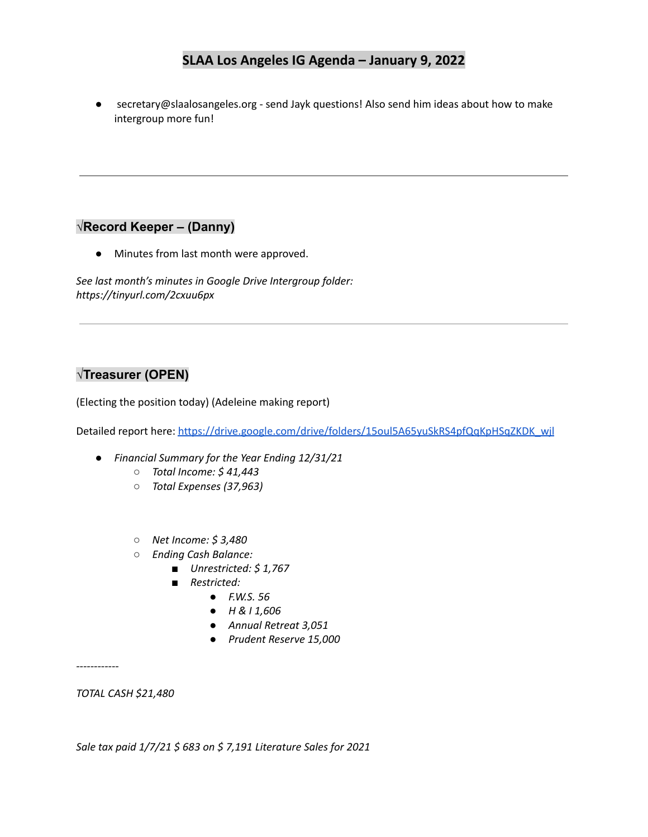● secretary@slaalosangeles.org - send Jayk questions! Also send him ideas about how to make intergroup more fun!

## **√Record Keeper – (Danny)**

● Minutes from last month were approved.

*See last month's minutes in Google Drive Intergroup folder: https://tinyurl.com/2cxuu6px*

## **√Treasurer (OPEN)**

(Electing the position today) (Adeleine making report)

Detailed report here: [https://drive.google.com/drive/folders/15oul5A65yuSkRS4pfQqKpHSqZKDK\\_wjl](https://drive.google.com/drive/folders/15oul5A65yuSkRS4pfQqKpHSqZKDK_wjl)

- *● Financial Summary for the Year Ending 12/31/21*
	- *○ Total Income: \$ 41,443*
	- *○ Total Expenses (37,963)*
	- *○ Net Income: \$ 3,480*
	- *○ Ending Cash Balance:*
		- *■ Unrestricted: \$ 1,767*
		- *■ Restricted:*
			- *● F.W.S. 56*
			- *● H & I 1,606*
			- *● Annual Retreat 3,051*
			- *● Prudent Reserve 15,000*

*------------*

*TOTAL CASH \$21,480*

*Sale tax paid 1/7/21 \$ 683 on \$ 7,191 Literature Sales for 2021*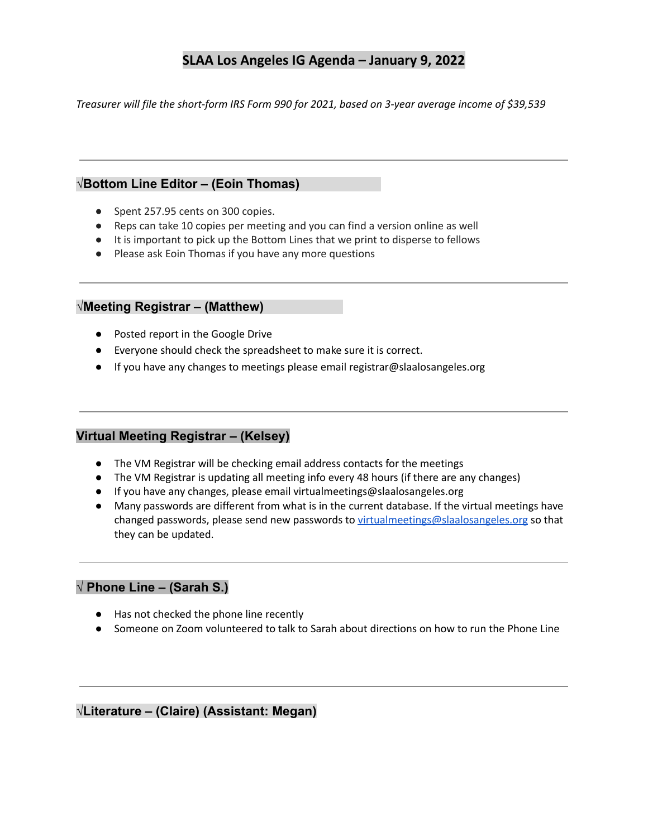*Treasurer will file the short-form IRS Form 990 for 2021, based on 3-year average income of \$39,539*

#### **√Bottom Line Editor – (Eoin Thomas)**

- Spent 257.95 cents on 300 copies.
- Reps can take 10 copies per meeting and you can find a version online as well
- It is important to pick up the Bottom Lines that we print to disperse to fellows
- Please ask Eoin Thomas if you have any more questions

#### **√Meeting Registrar – (Matthew)**

- Posted report in the Google Drive
- Everyone should check the spreadsheet to make sure it is correct.
- If you have any changes to meetings please email registrar@slaalosangeles.org

#### **Virtual Meeting Registrar – (Kelsey)**

- The VM Registrar will be checking email address contacts for the meetings
- The VM Registrar is updating all meeting info every 48 hours (if there are any changes)
- If you have any changes, please email virtualmeetings@slaalosangeles.org
- Many passwords are different from what is in the current database. If the virtual meetings have changed passwords, please send new passwords to [virtualmeetings@slaalosangeles.org](mailto:virtualmeetings@slaalosangeles.org) so that they can be updated.

# **√ Phone Line – (Sarah S.)**

- Has not checked the phone line recently
- Someone on Zoom volunteered to talk to Sarah about directions on how to run the Phone Line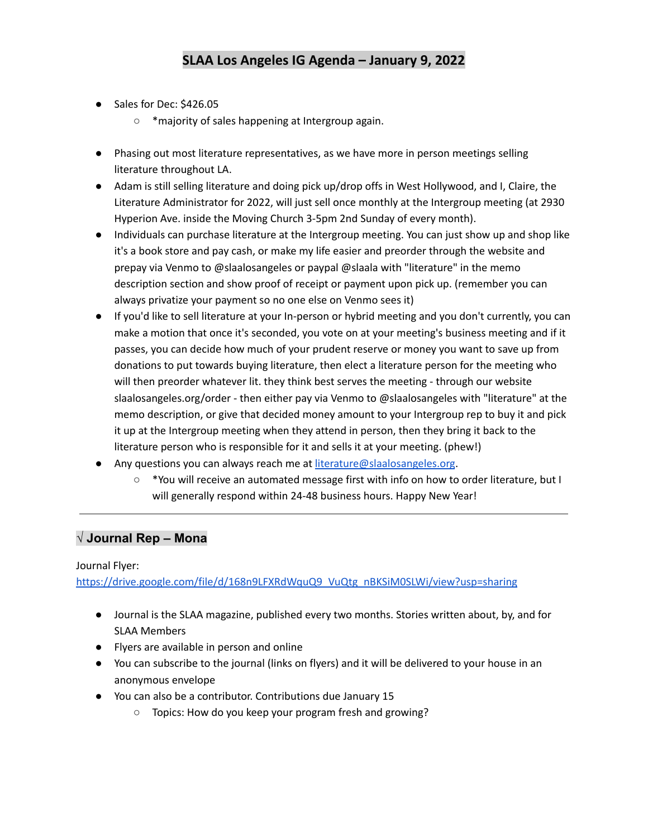- Sales for Dec: \$426.05
	- \*majority of sales happening at Intergroup again.
- Phasing out most literature representatives, as we have more in person meetings selling literature throughout LA.
- Adam is still selling literature and doing pick up/drop offs in West Hollywood, and I, Claire, the Literature Administrator for 2022, will just sell once monthly at the Intergroup meeting (at 2930 Hyperion Ave. inside the Moving Church 3-5pm 2nd Sunday of every month).
- Individuals can purchase literature at the Intergroup meeting. You can just show up and shop like it's a book store and pay cash, or make my life easier and preorder through the website and prepay via Venmo to @slaalosangeles or paypal @slaala with "literature" in the memo description section and show proof of receipt or payment upon pick up. (remember you can always privatize your payment so no one else on Venmo sees it)
- If you'd like to sell literature at your In-person or hybrid meeting and you don't currently, you can make a motion that once it's seconded, you vote on at your meeting's business meeting and if it passes, you can decide how much of your prudent reserve or money you want to save up from donations to put towards buying literature, then elect a literature person for the meeting who will then preorder whatever lit. they think best serves the meeting - through our website slaalosangeles.org/order - then either pay via Venmo to @slaalosangeles with "literature" at the memo description, or give that decided money amount to your Intergroup rep to buy it and pick it up at the Intergroup meeting when they attend in person, then they bring it back to the literature person who is responsible for it and sells it at your meeting. (phew!)
- Any questions you can always reach me at [literature@slaalosangeles.org](mailto:literature@slaalosangeles.org).
	- \*You will receive an automated message first with info on how to order literature, but I will generally respond within 24-48 business hours. Happy New Year!

# **√ Journal Rep – Mona**

#### Journal Flyer:

[https://drive.google.com/file/d/168n9LFXRdWquQ9\\_VuQtg\\_nBKSiM0SLWi/view?usp=sharing](https://drive.google.com/file/d/168n9LFXRdWquQ9_VuQtg_nBKSiM0SLWi/view?usp=sharing)

- Journal is the SLAA magazine, published every two months. Stories written about, by, and for SLAA Members
- Flyers are available in person and online
- You can subscribe to the journal (links on flyers) and it will be delivered to your house in an anonymous envelope
- You can also be a contributor. Contributions due January 15
	- Topics: How do you keep your program fresh and growing?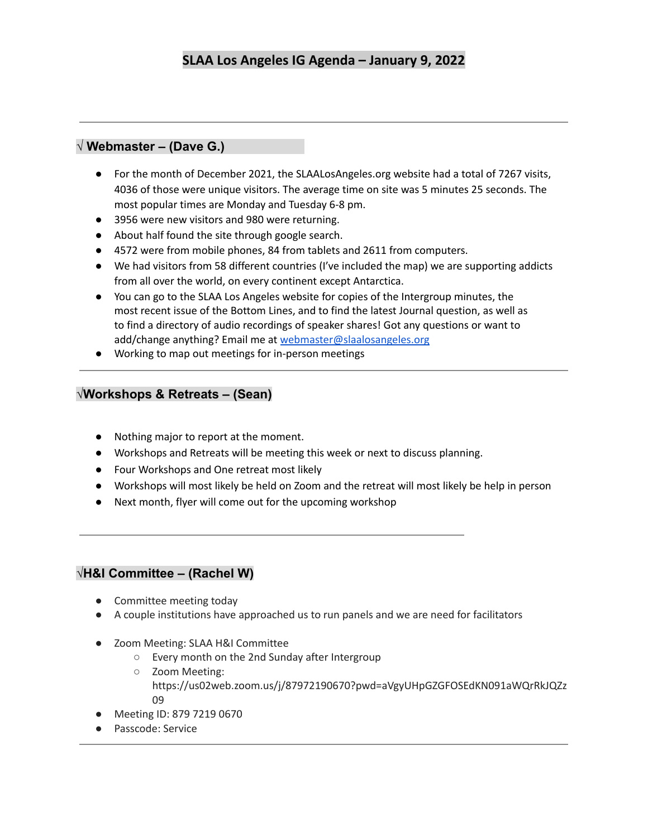## **√ Webmaster – (Dave G.)**

- For the month of December 2021, the SLAALosAngeles.org website had a total of 7267 visits, 4036 of those were unique visitors. The average time on site was 5 minutes 25 seconds. The most popular times are Monday and Tuesday 6-8 pm.
- 3956 were new visitors and 980 were returning.
- About half found the site through google search.
- 4572 were from mobile phones, 84 from tablets and 2611 from computers.
- We had visitors from 58 different countries (I've included the map) we are supporting addicts from all over the world, on every continent except Antarctica.
- You can go to the SLAA Los Angeles website for copies of the Intergroup minutes, the most recent issue of the Bottom Lines, and to find the latest Journal question, as well as to find a directory of audio recordings of speaker shares! Got any questions or want to add/change anything? Email me at [webmaster@slaalosangeles.org](mailto:webmaster@slaalosangeles.org)
- Working to map out meetings for in-person meetings

#### **√Workshops & Retreats – (Sean)**

- Nothing major to report at the moment.
- Workshops and Retreats will be meeting this week or next to discuss planning.
- Four Workshops and One retreat most likely
- Workshops will most likely be held on Zoom and the retreat will most likely be help in person
- Next month, flyer will come out for the upcoming workshop

#### **√H&I Committee – (Rachel W)**

- Committee meeting today
- A couple institutions have approached us to run panels and we are need for facilitators
- Zoom Meeting: SLAA H&I Committee
	- Every month on the 2nd Sunday after Intergroup
	- Zoom Meeting: https://us02web.zoom.us/j/87972190670?pwd=aVgyUHpGZGFOSEdKN091aWQrRkJQZz 09
- Meeting ID: 879 7219 0670
- Passcode: Service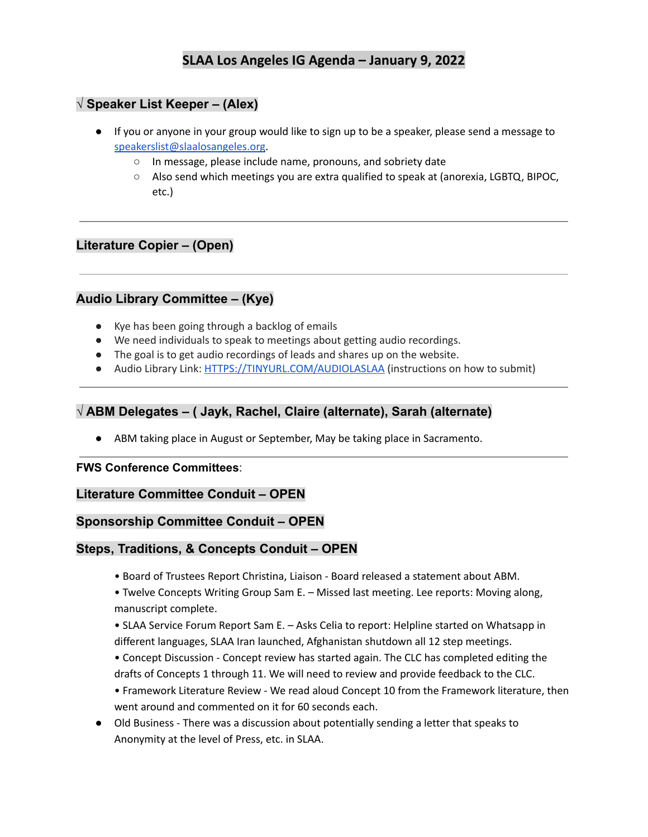## **√ Speaker List Keeper – (Alex)**

- If you or anyone in your group would like to sign up to be a speaker, please send a message to [speakerslist@slaalosangeles.org.](mailto:speakerslist@slaalosangeles.org)
	- In message, please include name, pronouns, and sobriety date
	- Also send which meetings you are extra qualified to speak at (anorexia, LGBTQ, BIPOC, etc.)

### **Literature Copier – (Open)**

### **Audio Library Committee – (Kye)**

- Kye has been going through a backlog of emails
- We need individuals to speak to meetings about getting audio recordings.
- The goal is to get audio recordings of leads and shares up on the website.
- Audio Library Link: [HTTPS://TINYURL.COM/AUDIOLASLAA](https://tinyurl.com/AUDIOLASLAA) (instructions on how to submit)

### **√ ABM Delegates – ( Jayk, Rachel, Claire (alternate), Sarah (alternate)**

● ABM taking place in August or September, May be taking place in Sacramento.

#### **FWS Conference Committees**:

#### **Literature Committee Conduit – OPEN**

#### **Sponsorship Committee Conduit – OPEN**

#### **Steps, Traditions, & Concepts Conduit – OPEN**

• Board of Trustees Report Christina, Liaison - Board released a statement about ABM.

• Twelve Concepts Writing Group Sam E. – Missed last meeting. Lee reports: Moving along, manuscript complete.

• SLAA Service Forum Report Sam E. – Asks Celia to report: Helpline started on Whatsapp in different languages, SLAA Iran launched, Afghanistan shutdown all 12 step meetings.

• Concept Discussion - Concept review has started again. The CLC has completed editing the drafts of Concepts 1 through 11. We will need to review and provide feedback to the CLC.

• Framework Literature Review - We read aloud Concept 10 from the Framework literature, then went around and commented on it for 60 seconds each.

● Old Business - There was a discussion about potentially sending a letter that speaks to Anonymity at the level of Press, etc. in SLAA.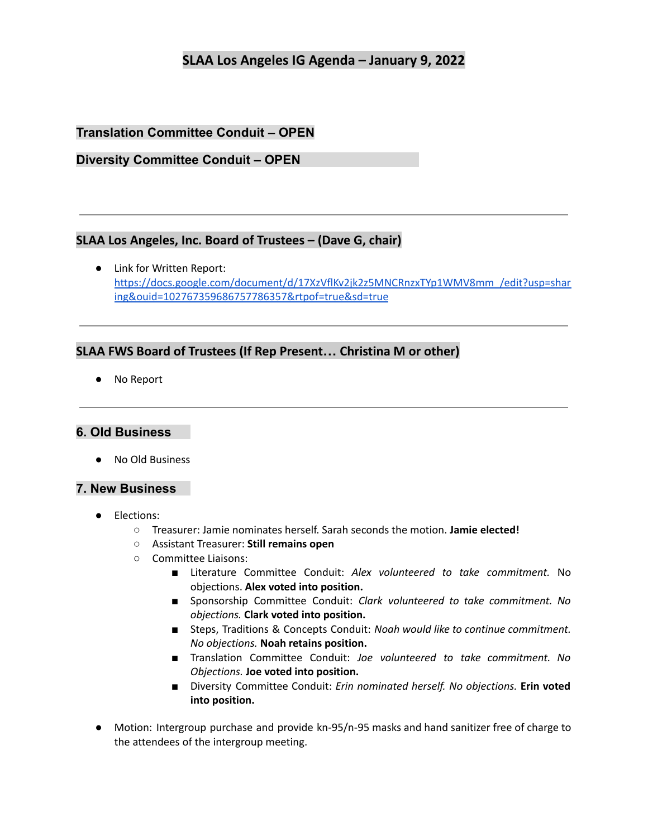## **Translation Committee Conduit – OPEN**

### **Diversity Committee Conduit – OPEN**

### **SLAA Los Angeles, Inc. Board of Trustees – (Dave G, chair)**

● Link for Written Report: [https://docs.google.com/document/d/17XzVflKv2jk2z5MNCRnzxTYp1WMV8mm\\_/edit?usp=shar](https://docs.google.com/document/d/17XzVflKv2jk2z5MNCRnzxTYp1WMV8mm_/edit?usp=sharing&ouid=102767359686757786357&rtpof=true&sd=true) [ing&ouid=102767359686757786357&rtpof=true&sd=true](https://docs.google.com/document/d/17XzVflKv2jk2z5MNCRnzxTYp1WMV8mm_/edit?usp=sharing&ouid=102767359686757786357&rtpof=true&sd=true)

#### **SLAA FWS Board of Trustees (If Rep Present… Christina M or other)**

● No Report

#### **6. Old Business**

● No Old Business

#### **7. New Business**

- Elections:
	- Treasurer: Jamie nominates herself. Sarah seconds the motion. **Jamie elected!**
	- Assistant Treasurer: **Still remains open**
	- Committee Liaisons:
		- Literature Committee Conduit: *Alex volunteered to take commitment.* No objections. **Alex voted into position.**
		- Sponsorship Committee Conduit: *Clark volunteered to take commitment. No objections.* **Clark voted into position.**
		- Steps, Traditions & Concepts Conduit: *Noah would like to continue commitment. No objections.* **Noah retains position.**
		- Translation Committee Conduit: *Joe volunteered to take commitment. No Objections.* **Joe voted into position.**
		- Diversity Committee Conduit: *Erin nominated herself. No objections.* **Erin voted into position.**
- Motion: Intergroup purchase and provide kn-95/n-95 masks and hand sanitizer free of charge to the attendees of the intergroup meeting.